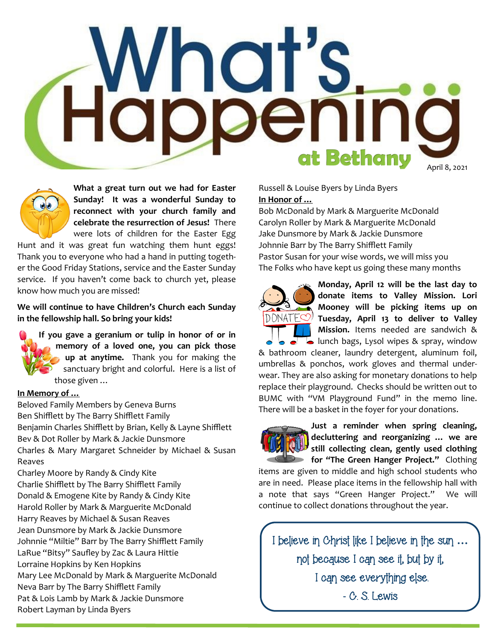## **Inguis**<br>Ibbeni  $\bullet$ at Bethany April 8, 2021

**What a great turn out we had for Easter Sunday! It was a wonderful Sunday to reconnect with your church family and celebrate the resurrection of Jesus!** There were lots of children for the Easter Egg

Hunt and it was great fun watching them hunt eggs! Thank you to everyone who had a hand in putting together the Good Friday Stations, service and the Easter Sunday service. If you haven't come back to church yet, please know how much you are missed!

**We will continue to have Children's Church each Sunday in the fellowship hall. So bring your kids!**

**If you gave a geranium or tulip in honor of or in memory of a loved one, you can pick those up at anytime.** Thank you for making the sanctuary bright and colorful. Here is a list of those given …

## **In Memory of …**

Beloved Family Members by Geneva Burns Ben Shifflett by The Barry Shifflett Family Benjamin Charles Shifflett by Brian, Kelly & Layne Shifflett Bev & Dot Roller by Mark & Jackie Dunsmore Charles & Mary Margaret Schneider by Michael & Susan Reaves Charley Moore by Randy & Cindy Kite Charlie Shifflett by The Barry Shifflett Family Donald & Emogene Kite by Randy & Cindy Kite

Harold Roller by Mark & Marguerite McDonald

Harry Reaves by Michael & Susan Reaves

Jean Dunsmore by Mark & Jackie Dunsmore

Johnnie "Miltie" Barr by The Barry Shifflett Family

LaRue "Bitsy" Saufley by Zac & Laura Hittie

Lorraine Hopkins by Ken Hopkins

Mary Lee McDonald by Mark & Marguerite McDonald

Neva Barr by The Barry Shifflett Family

Pat & Lois Lamb by Mark & Jackie Dunsmore

Robert Layman by Linda Byers

Russell & Louise Byers by Linda Byers **In Honor of …**

Bob McDonald by Mark & Marguerite McDonald Carolyn Roller by Mark & Marguerite McDonald Jake Dunsmore by Mark & Jackie Dunsmore Johnnie Barr by The Barry Shifflett Family Pastor Susan for your wise words, we will miss you The Folks who have kept us going these many months



**Monday, April 12 will be the last day to donate items to Valley Mission. Lori Mooney will be picking items up on Tuesday, April 13 to deliver to Valley Mission.** Items needed are sandwich & **I** lunch bags, Lysol wipes & spray, window

& bathroom cleaner, laundry detergent, aluminum foil, umbrellas & ponchos, work gloves and thermal underwear. They are also asking for monetary donations to help replace their playground. Checks should be written out to BUMC with "VM Playground Fund" in the memo line. There will be a basket in the foyer for your donations.



**Just a reminder when spring cleaning, decluttering and reorganizing … we are still collecting clean, gently used clothing for "The Green Hanger Project."** Clothing

items are given to middle and high school students who are in need. Please place items in the fellowship hall with a note that says "Green Hanger Project." We will continue to collect donations throughout the year.

I believe in Christ like I believe in the sun **…** not because I can see it, but by it, I can see everything else. - C. S. Lewis